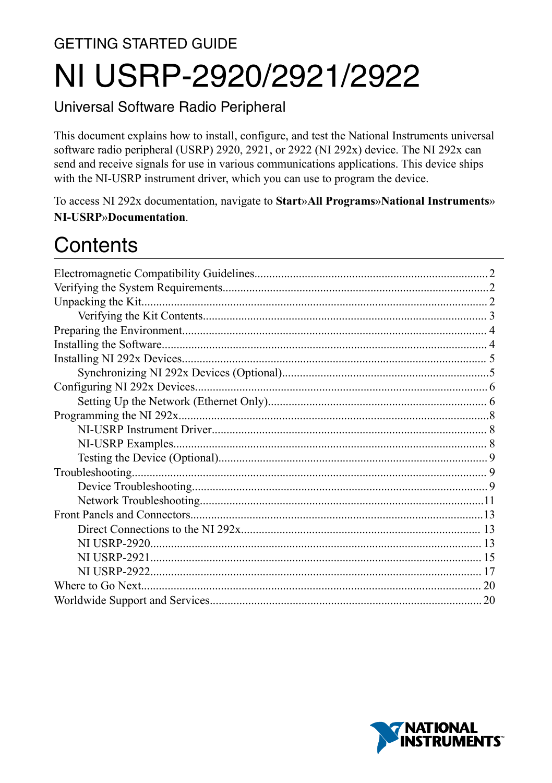# **GETTING STARTED GUIDE** NI USRP-2920/2921/2922

#### Universal Software Radio Peripheral

This document explains how to install, configure, and test the National Instruments universal software radio peripheral (USRP) 2920, 2921, or 2922 (NI 292x) device. The NI 292x can send and receive signals for use in various communications applications. This device ships with the NI-USRP instrument driver, which you can use to program the device.

To access NI 292x documentation, navigate to Start»All Programs»National Instruments» NI-USRP»Documentation.

# Contents

| 20 |
|----|
|    |

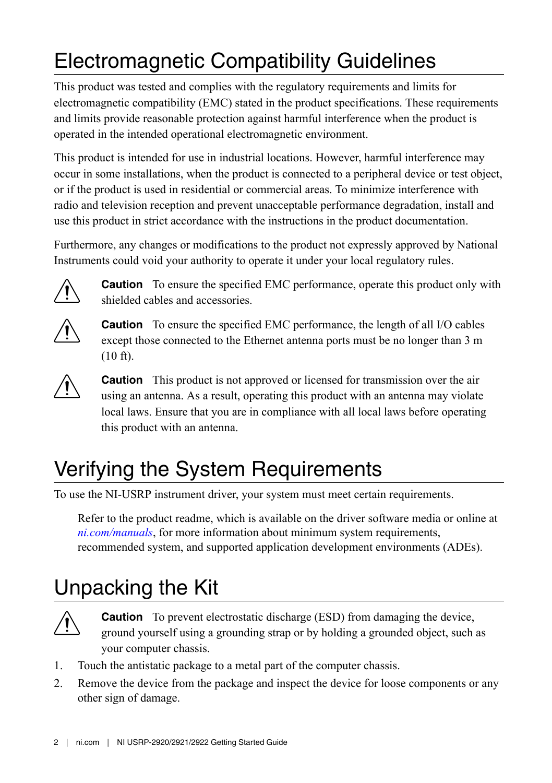# <span id="page-1-0"></span>Electromagnetic Compatibility Guidelines

This product was tested and complies with the regulatory requirements and limits for electromagnetic compatibility (EMC) stated in the product specifications. These requirements and limits provide reasonable protection against harmful interference when the product is operated in the intended operational electromagnetic environment.

This product is intended for use in industrial locations. However, harmful interference may occur in some installations, when the product is connected to a peripheral device or test object, or if the product is used in residential or commercial areas. To minimize interference with radio and television reception and prevent unacceptable performance degradation, install and use this product in strict accordance with the instructions in the product documentation.

Furthermore, any changes or modifications to the product not expressly approved by National Instruments could void your authority to operate it under your local regulatory rules.



**Caution** To ensure the specified EMC performance, operate this product only with shielded cables and accessories.



**Caution** To ensure the specified EMC performance, the length of all I/O cables except those connected to the Ethernet antenna ports must be no longer than 3 m (10 ft).



**Caution** This product is not approved or licensed for transmission over the air using an antenna. As a result, operating this product with an antenna may violate local laws. Ensure that you are in compliance with all local laws before operating this product with an antenna.

# Verifying the System Requirements

To use the NI-USRP instrument driver, your system must meet certain requirements.

Refer to the product readme, which is available on the driver software media or online at *[ni.com/manuals](http://www.ni.com/manuals)*, for more information about minimum system requirements, recommended system, and supported application development environments (ADEs).

# Unpacking the Kit



**Caution** To prevent electrostatic discharge (ESD) from damaging the device, ground yourself using a grounding strap or by holding a grounded object, such as your computer chassis.

- 1. Touch the antistatic package to a metal part of the computer chassis.
- 2. Remove the device from the package and inspect the device for loose components or any other sign of damage.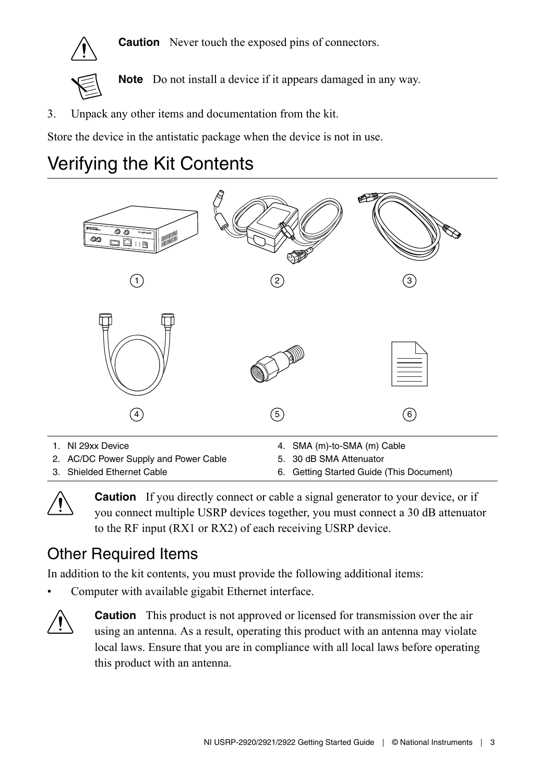<span id="page-2-0"></span>

**Caution** Never touch the exposed pins of connectors.



**Note** Do not install a device if it appears damaged in any way.

3. Unpack any other items and documentation from the kit.

Store the device in the antistatic package when the device is not in use.

## Verifying the Kit Contents





**Caution** If you directly connect or cable a signal generator to your device, or if you connect multiple USRP devices together, you must connect a 30 dB attenuator to the RF input (RX1 or RX2) of each receiving USRP device.

## Other Required Items

In addition to the kit contents, you must provide the following additional items:

Computer with available gigabit Ethernet interface.



**Caution** This product is not approved or licensed for transmission over the air using an antenna. As a result, operating this product with an antenna may violate local laws. Ensure that you are in compliance with all local laws before operating this product with an antenna.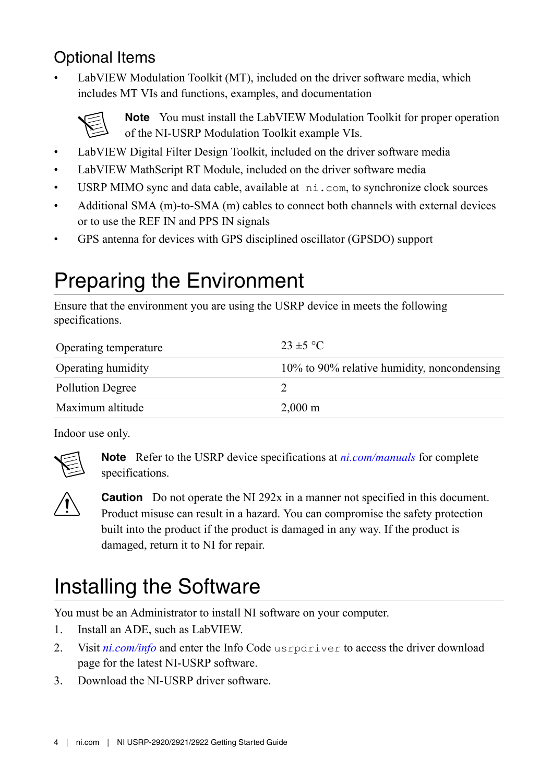## <span id="page-3-0"></span>Optional Items

LabVIEW Modulation Toolkit (MT), included on the driver software media, which includes MT VIs and functions, examples, and documentation



**Note** You must install the LabVIEW Modulation Toolkit for proper operation of the NI-USRP Modulation Toolkit example VIs.

- LabVIEW Digital Filter Design Toolkit, included on the driver software media
- LabVIEW MathScript RT Module, included on the driver software media
- USRP MIMO sync and data cable, available at ni.com, to synchronize clock sources
- Additional SMA (m)-to-SMA (m) cables to connect both channels with external devices or to use the REF IN and PPS IN signals
- GPS antenna for devices with GPS disciplined oscillator (GPSDO) support

# Preparing the Environment

Ensure that the environment you are using the USRP device in meets the following specifications.

| Operating temperature   | $23 \pm 5$ °C                               |
|-------------------------|---------------------------------------------|
| Operating humidity      | 10% to 90% relative humidity, noncondensing |
| <b>Pollution Degree</b> |                                             |
| Maximum altitude        | $2,000 \text{ m}$                           |

Indoor use only.



**Note** Refer to the USRP device specifications at *[ni.com/manuals](http://www.ni.com/manuals)* for complete specifications.



**Caution** Do not operate the NI 292x in a manner not specified in this document. Product misuse can result in a hazard. You can compromise the safety protection built into the product if the product is damaged in any way. If the product is damaged, return it to NI for repair.

# Installing the Software

You must be an Administrator to install NI software on your computer.

- 1. Install an ADE, such as LabVIEW.
- 2. Visit *[ni.com/info](http://www.ni.com/support)* and enter the Info Code usrpdriver to access the driver download page for the latest NI-USRP software.
- 3. Download the NI-USRP driver software.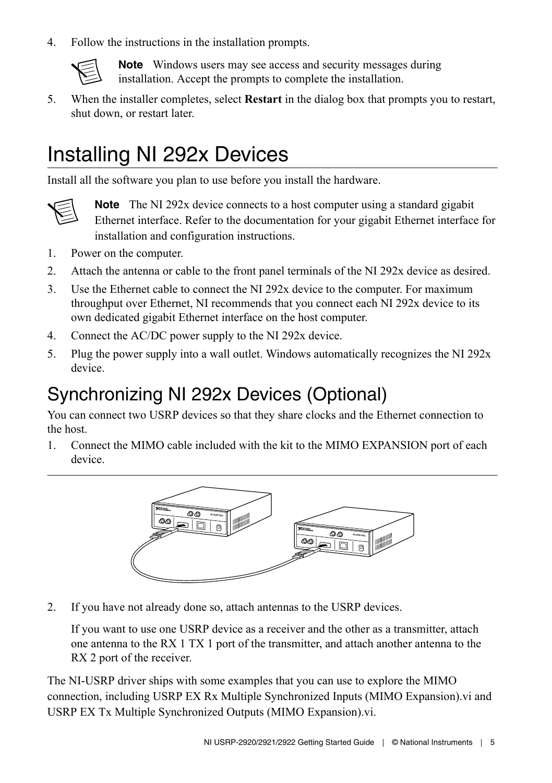<span id="page-4-0"></span>4. Follow the instructions in the installation prompts.



**Note** Windows users may see access and security messages during installation. Accept the prompts to complete the installation.

5. When the installer completes, select **Restart** in the dialog box that prompts you to restart, shut down, or restart later.

# Installing NI 292x Devices

Install all the software you plan to use before you install the hardware.



**Note** The NI 292x device connects to a host computer using a standard gigabit Ethernet interface. Refer to the documentation for your gigabit Ethernet interface for installation and configuration instructions.

- 1. Power on the computer.
- 2. Attach the antenna or cable to the front panel terminals of the NI 292x device as desired.
- 3. Use the Ethernet cable to connect the NI 292x device to the computer. For maximum throughput over Ethernet, NI recommends that you connect each NI 292x device to its own dedicated gigabit Ethernet interface on the host computer.
- 4. Connect the AC/DC power supply to the NI 292x device.
- 5. Plug the power supply into a wall outlet. Windows automatically recognizes the NI  $292x$ device.

## Synchronizing NI 292x Devices (Optional)

You can connect two USRP devices so that they share clocks and the Ethernet connection to the host.

1. Connect the MIMO cable included with the kit to the MIMO EXPANSION port of each device.



2. If you have not already done so, attach antennas to the USRP devices.

If you want to use one USRP device as a receiver and the other as a transmitter, attach one antenna to the RX 1 TX 1 port of the transmitter, and attach another antenna to the RX 2 port of the receiver.

The NI-USRP driver ships with some examples that you can use to explore the MIMO connection, including USRP EX Rx Multiple Synchronized Inputs (MIMO Expansion).vi and USRP EX Tx Multiple Synchronized Outputs (MIMO Expansion).vi.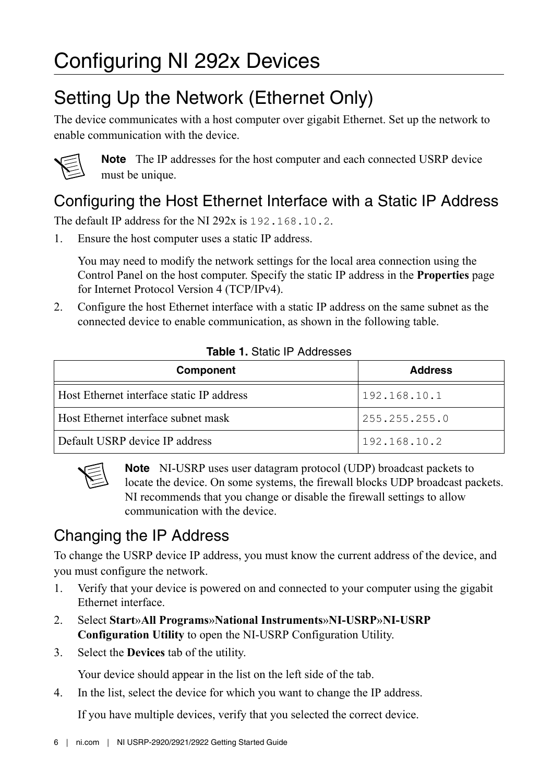## <span id="page-5-0"></span>Setting Up the Network (Ethernet Only)

The device communicates with a host computer over gigabit Ethernet. Set up the network to enable communication with the device.



**Note** The IP addresses for the host computer and each connected USRP device must be unique.

## Configuring the Host Ethernet Interface with a Static IP Address

The default IP address for the NI  $292x$  is  $192, 168, 10, 2$ .

1. Ensure the host computer uses a static IP address.

You may need to modify the network settings for the local area connection using the Control Panel on the host computer. Specify the static IP address in the **Properties** page for Internet Protocol Version 4 (TCP/IPv4).

2. Configure the host Ethernet interface with a static IP address on the same subnet as the connected device to enable communication, as shown in the following table.

| Component                                 | <b>Address</b> |
|-------------------------------------------|----------------|
| Host Ethernet interface static IP address | 192.168.10.1   |
| Host Ethernet interface subnet mask       | 255.255.255.0  |
| Default USRP device IP address            | 192.168.10.2   |

#### **Table 1.** Static IP Addresses



**Note** NI-USRP uses user datagram protocol (UDP) broadcast packets to locate the device. On some systems, the firewall blocks UDP broadcast packets. NI recommends that you change or disable the firewall settings to allow communication with the device.

## Changing the IP Address

To change the USRP device IP address, you must know the current address of the device, and you must configure the network.

- 1. Verify that your device is powered on and connected to your computer using the gigabit Ethernet interface.
- 2. Select **Start**»**All Programs**»**National Instruments**»**NI-USRP**»**NI-USRP Configuration Utility** to open the NI-USRP Configuration Utility.
- 3. Select the **Devices** tab of the utility.

Your device should appear in the list on the left side of the tab.

4. In the list, select the device for which you want to change the IP address.

If you have multiple devices, verify that you selected the correct device.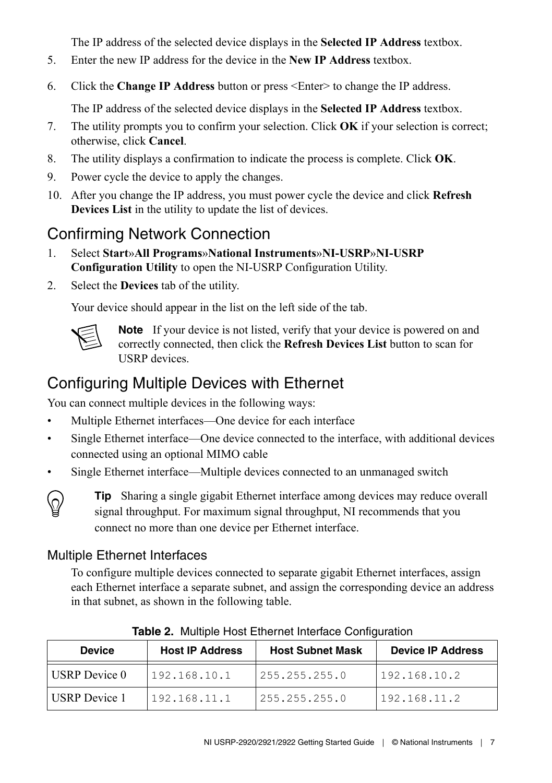The IP address of the selected device displays in the **Selected IP Address** textbox.

- 5. Enter the new IP address for the device in the **New IP Address** textbox.
- 6. Click the **Change IP Address** button or press <Enter> to change the IP address.

The IP address of the selected device displays in the **Selected IP Address** textbox.

- 7. The utility prompts you to confirm your selection. Click **OK** if your selection is correct; otherwise, click **Cancel**.
- 8. The utility displays a confirmation to indicate the process is complete. Click **OK**.
- 9. Power cycle the device to apply the changes.
- 10. After you change the IP address, you must power cycle the device and click **Refresh Devices List** in the utility to update the list of devices.

## Confirming Network Connection

- 1. Select **Start**»**All Programs**»**National Instruments**»**NI-USRP**»**NI-USRP Configuration Utility** to open the NI-USRP Configuration Utility.
- 2. Select the **Devices** tab of the utility.

Your device should appear in the list on the left side of the tab.



**Note** If your device is not listed, verify that your device is powered on and correctly connected, then click the **Refresh Devices List** button to scan for USRP devices.

### Configuring Multiple Devices with Ethernet

You can connect multiple devices in the following ways:

- Multiple Ethernet interfaces—One device for each interface
- Single Ethernet interface—One device connected to the interface, with additional devices connected using an optional MIMO cable
- Single Ethernet interface—Multiple devices connected to an unmanaged switch



**Tip** Sharing a single gigabit Ethernet interface among devices may reduce overall signal throughput. For maximum signal throughput, NI recommends that you connect no more than one device per Ethernet interface.

#### Multiple Ethernet Interfaces

To configure multiple devices connected to separate gigabit Ethernet interfaces, assign each Ethernet interface a separate subnet, and assign the corresponding device an address in that subnet, as shown in the following table.

| <b>Device</b>        | <b>Host IP Address</b> | <b>Host Subnet Mask</b> | <b>Device IP Address</b> |
|----------------------|------------------------|-------------------------|--------------------------|
| USRP Device 0        | 192.168.10.1           | 255.255.255.0           | 192.168.10.2             |
| <b>USRP</b> Device 1 | 192.168.11.1           | 255.255.255.0           | 192.168.11.2             |

**Table 2.** Multiple Host Ethernet Interface Configuration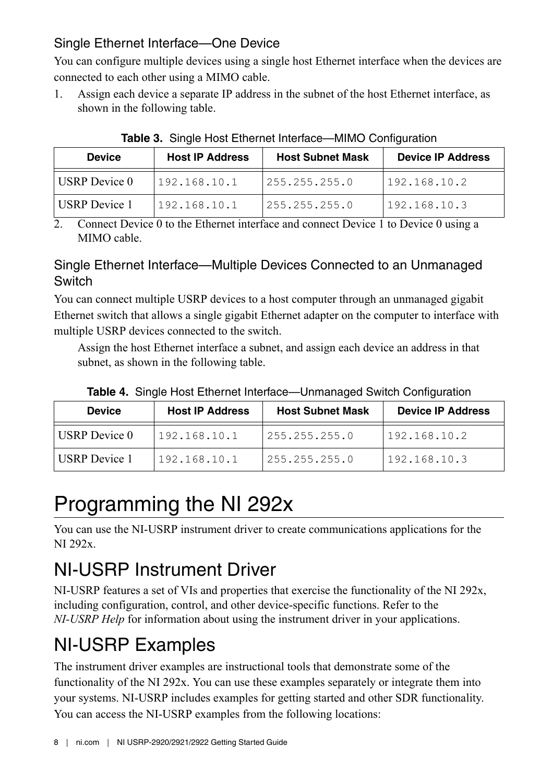#### <span id="page-7-0"></span>Single Ethernet Interface—One Device

You can configure multiple devices using a single host Ethernet interface when the devices are connected to each other using a MIMO cable.

1. Assign each device a separate IP address in the subnet of the host Ethernet interface, as shown in the following table.

| <b>Device</b> | <b>Host IP Address</b> | <b>Host Subnet Mask</b> | <b>Device IP Address</b> |
|---------------|------------------------|-------------------------|--------------------------|
| USRP Device 0 | 192.168.10.1           | 255.255.255.0           | 192.168.10.2             |
| USRP Device 1 | 192.168.10.1           | 255.255.255.0           | 192.168.10.3             |

**Table 3.** Single Host Ethernet Interface—MIMO Configuration

2. Connect Device 0 to the Ethernet interface and connect Device 1 to Device 0 using a MIMO cable.

#### Single Ethernet Interface—Multiple Devices Connected to an Unmanaged **Switch**

You can connect multiple USRP devices to a host computer through an unmanaged gigabit Ethernet switch that allows a single gigabit Ethernet adapter on the computer to interface with multiple USRP devices connected to the switch.

Assign the host Ethernet interface a subnet, and assign each device an address in that subnet, as shown in the following table.

| <b>Device</b> | <b>Host IP Address</b> | <b>Host Subnet Mask</b> | <b>Device IP Address</b> |
|---------------|------------------------|-------------------------|--------------------------|
| USRP Device 0 | 192.168.10.1           | 255.255.255.0           | 1192.168.10.2            |
| USRP Device 1 | 192.168.10.1           | 1255.255.255.0          | 192.168.10.3             |

**Table 4.** Single Host Ethernet Interface—Unmanaged Switch Configuration

## Programming the NI 292x

You can use the NI-USRP instrument driver to create communications applications for the NI 292x.

## NI-USRP Instrument Driver

NI-USRP features a set of VIs and properties that exercise the functionality of the NI 292x, including configuration, control, and other device-specific functions. Refer to the *NI-USRP Help* for information about using the instrument driver in your applications.

## NI-USRP Examples

The instrument driver examples are instructional tools that demonstrate some of the functionality of the NI 292x. You can use these examples separately or integrate them into your systems. NI-USRP includes examples for getting started and other SDR functionality. You can access the NI-USRP examples from the following locations: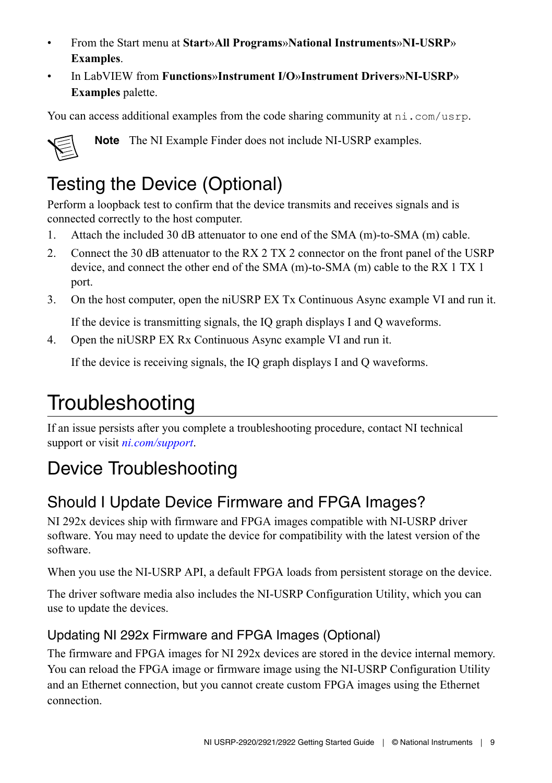- <span id="page-8-0"></span>• From the Start menu at **Start**»**All Programs**»**National Instruments**»**NI-USRP**» **Examples**.
- In LabVIEW from **Functions**»**Instrument I/O**»**Instrument Drivers**»**NI**‑**USRP**» **Examples** palette.

You can access additional examples from the code sharing community at  $ni$ , com/usrp.



**Note** The NI Example Finder does not include NI-USRP examples.

## Testing the Device (Optional)

Perform a loopback test to confirm that the device transmits and receives signals and is connected correctly to the host computer.

- 1. Attach the included 30 dB attenuator to one end of the SMA (m)-to-SMA (m) cable.
- 2. Connect the 30 dB attenuator to the RX 2 TX 2 connector on the front panel of the USRP device, and connect the other end of the SMA (m)-to-SMA (m) cable to the RX 1 TX 1 port.
- 3. On the host computer, open the niUSRP EX Tx Continuous Async example VI and run it.

If the device is transmitting signals, the IQ graph displays I and Q waveforms.

4. Open the niUSRP EX Rx Continuous Async example VI and run it.

If the device is receiving signals, the IQ graph displays I and Q waveforms.

# **Troubleshooting**

If an issue persists after you complete a troubleshooting procedure, contact NI technical support or visit *[ni.com/support](http://www.ni.com/support)*.

## Device Troubleshooting

## Should I Update Device Firmware and FPGA Images?

NI 292x devices ship with firmware and FPGA images compatible with NI-USRP driver software. You may need to update the device for compatibility with the latest version of the software.

When you use the NI-USRP API, a default FPGA loads from persistent storage on the device.

The driver software media also includes the NI-USRP Configuration Utility, which you can use to update the devices.

#### Updating NI 292x Firmware and FPGA Images (Optional)

The firmware and FPGA images for NI 292x devices are stored in the device internal memory. You can reload the FPGA image or firmware image using the NI-USRP Configuration Utility and an Ethernet connection, but you cannot create custom FPGA images using the Ethernet connection.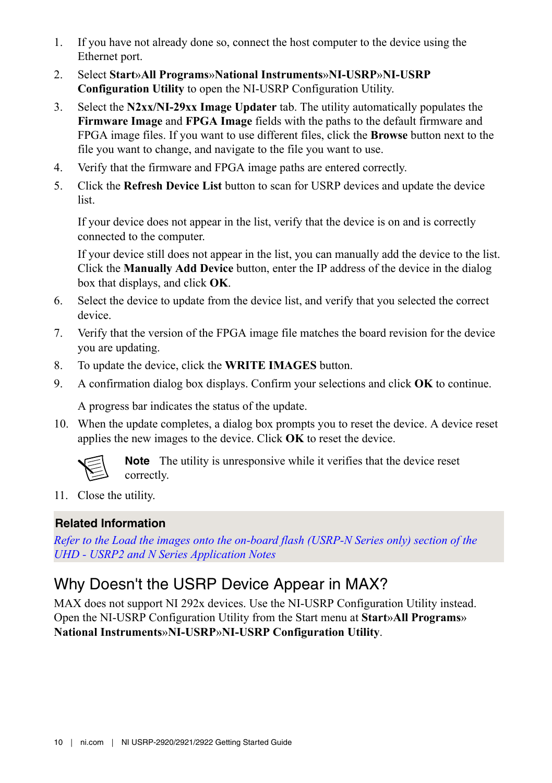- 1. If you have not already done so, connect the host computer to the device using the Ethernet port.
- 2. Select **Start**»**All Programs**»**National Instruments**»**NI-USRP**»**NI-USRP Configuration Utility** to open the NI-USRP Configuration Utility.
- 3. Select the **N2xx/NI-29xx Image Updater** tab. The utility automatically populates the **Firmware Image** and **FPGA Image** fields with the paths to the default firmware and FPGA image files. If you want to use different files, click the **Browse** button next to the file you want to change, and navigate to the file you want to use.
- 4. Verify that the firmware and FPGA image paths are entered correctly.
- 5. Click the **Refresh Device List** button to scan for USRP devices and update the device list.

If your device does not appear in the list, verify that the device is on and is correctly connected to the computer.

If your device still does not appear in the list, you can manually add the device to the list. Click the **Manually Add Device** button, enter the IP address of the device in the dialog box that displays, and click **OK**.

- 6. Select the device to update from the device list, and verify that you selected the correct device.
- 7. Verify that the version of the FPGA image file matches the board revision for the device you are updating.
- 8. To update the device, click the **WRITE IMAGES** button.
- 9. A confirmation dialog box displays. Confirm your selections and click **OK** to continue.

A progress bar indicates the status of the update.

10. When the update completes, a dialog box prompts you to reset the device. A device reset applies the new images to the device. Click **OK** to reset the device.



**Note** The utility is unresponsive while it verifies that the device reset correctly.

11. Close the utility.

#### **Related Information**

*[Refer to the Load the images onto the on-board flash \(USRP-N Series only\) section of the](http://files.ettus.com/uhd_docs/manual/html/usrp2.html#load-the-images-onto-the-on-board-flash-usrp-n-series-only) [UHD - USRP2 and N Series Application Notes](http://files.ettus.com/uhd_docs/manual/html/usrp2.html#load-the-images-onto-the-on-board-flash-usrp-n-series-only)*

### Why Doesn't the USRP Device Appear in MAX?

MAX does not support NI 292x devices. Use the NI-USRP Configuration Utility instead. Open the NI-USRP Configuration Utility from the Start menu at **Start**»**All Programs**» **National Instruments**»**NI-USRP**»**NI-USRP Configuration Utility**.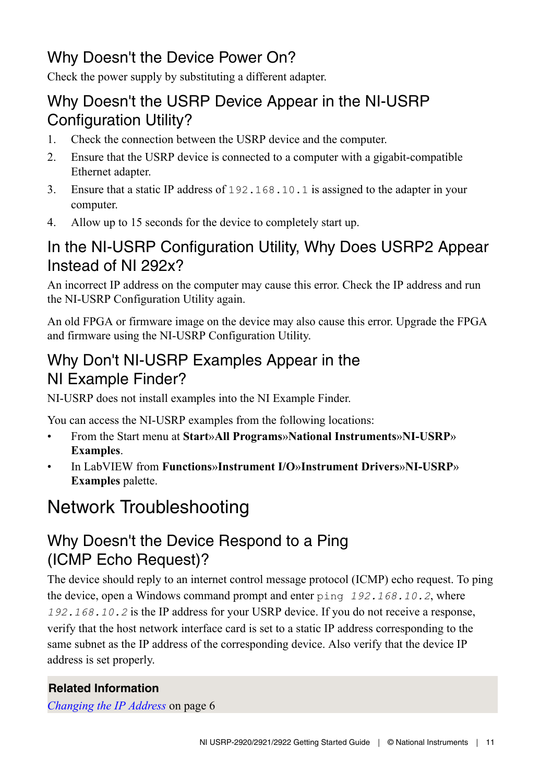## <span id="page-10-0"></span>Why Doesn't the Device Power On?

Check the power supply by substituting a different adapter.

#### Why Doesn't the USRP Device Appear in the NI-USRP Configuration Utility?

- 1. Check the connection between the USRP device and the computer.
- 2. Ensure that the USRP device is connected to a computer with a gigabit-compatible Ethernet adapter.
- 3. Ensure that a static IP address of 192.168.10.1 is assigned to the adapter in your computer.
- 4. Allow up to 15 seconds for the device to completely start up.

### In the NI-USRP Configuration Utility, Why Does USRP2 Appear Instead of NI 292x?

An incorrect IP address on the computer may cause this error. Check the IP address and run the NI-USRP Configuration Utility again.

An old FPGA or firmware image on the device may also cause this error. Upgrade the FPGA and firmware using the NI-USRP Configuration Utility.

### Why Don't NI-USRP Examples Appear in the NI Example Finder?

NI-USRP does not install examples into the NI Example Finder.

You can access the NI-USRP examples from the following locations:

- From the Start menu at **Start**»**All Programs**»**National Instruments**»**NI-USRP**» **Examples**.
- In LabVIEW from **Functions**»**Instrument I/O**»**Instrument Drivers**»**NI**‑**USRP**» **Examples** palette.

## Network Troubleshooting

### Why Doesn't the Device Respond to a Ping (ICMP Echo Request)?

The device should reply to an internet control message protocol (ICMP) echo request. To ping the device, open a Windows command prompt and enter ping *192.168.10.2*, where *192.168.10.2* is the IP address for your USRP device. If you do not receive a response, verify that the host network interface card is set to a static IP address corresponding to the same subnet as the IP address of the corresponding device. Also verify that the device IP address is set properly.

#### **Related Information**

*[Changing the IP Address](#page-5-0)* on page 6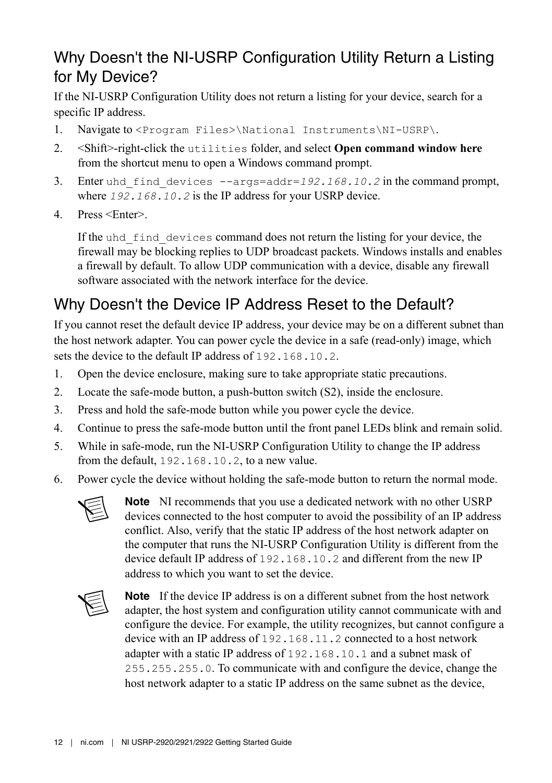## Why Doesn't the NI-USRP Configuration Utility Return a Listing for My Device?

If the NI-USRP Configuration Utility does not return a listing for your device, search for a specific IP address.

- 1. Navigate to <Program Files>\National Instruments\NI-USRP\.
- 2. <Shift>-right-click the utilities folder, and select **Open command window here** from the shortcut menu to open a Windows command prompt.
- 3. Enter uhd\_find\_devices --args=addr=*192.168.10.2* in the command prompt, where *192.168.10.2* is the IP address for your USRP device.
- 4. Press <Enter>.

If the uhd\_find\_devices command does not return the listing for your device, the firewall may be blocking replies to UDP broadcast packets. Windows installs and enables a firewall by default. To allow UDP communication with a device, disable any firewall software associated with the network interface for the device.

### Why Doesn't the Device IP Address Reset to the Default?

If you cannot reset the default device IP address, your device may be on a different subnet than the host network adapter. You can power cycle the device in a safe (read-only) image, which sets the device to the default IP address of 192.168.10.2.

- 1. Open the device enclosure, making sure to take appropriate static precautions.
- 2. Locate the safe-mode button, a push-button switch (S2), inside the enclosure.
- 3. Press and hold the safe-mode button while you power cycle the device.
- 4. Continue to press the safe-mode button until the front panel LEDs blink and remain solid.
- 5. While in safe-mode, run the NI-USRP Configuration Utility to change the IP address from the default, 192.168.10.2, to a new value.
- 6. Power cycle the device without holding the safe-mode button to return the normal mode.



**Note** NI recommends that you use a dedicated network with no other USRP devices connected to the host computer to avoid the possibility of an IP address conflict. Also, verify that the static IP address of the host network adapter on the computer that runs the NI-USRP Configuration Utility is different from the device default IP address of 192.168.10.2 and different from the new IP address to which you want to set the device.



**Note** If the device IP address is on a different subnet from the host network adapter, the host system and configuration utility cannot communicate with and configure the device. For example, the utility recognizes, but cannot configure a device with an IP address of 192.168.11.2 connected to a host network adapter with a static IP address of 192.168.10.1 and a subnet mask of 255.255.255.0. To communicate with and configure the device, change the host network adapter to a static IP address on the same subnet as the device,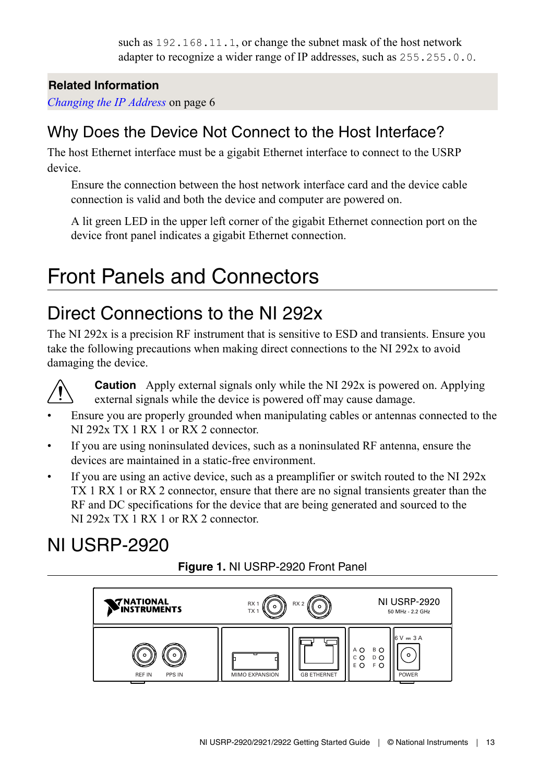such as 192.168.11.1, or change the subnet mask of the host network adapter to recognize a wider range of IP addresses, such as 255.255.0.0.

#### <span id="page-12-0"></span>**Related Information**

*[Changing the IP Address](#page-5-0)* on page 6

### Why Does the Device Not Connect to the Host Interface?

The host Ethernet interface must be a gigabit Ethernet interface to connect to the USRP device.

Ensure the connection between the host network interface card and the device cable connection is valid and both the device and computer are powered on.

A lit green LED in the upper left corner of the gigabit Ethernet connection port on the device front panel indicates a gigabit Ethernet connection.

# Front Panels and Connectors

## Direct Connections to the NI 292x

The NI 292x is a precision RF instrument that is sensitive to ESD and transients. Ensure you take the following precautions when making direct connections to the NI 292x to avoid damaging the device.



**Caution** Apply external signals only while the NI 292x is powered on. Applying external signals while the device is powered off may cause damage.

- Ensure you are properly grounded when manipulating cables or antennas connected to the NI 292x TX 1 RX 1 or RX 2 connector.
- If you are using noninsulated devices, such as a noninsulated RF antenna, ensure the devices are maintained in a static-free environment.
- If you are using an active device, such as a preamplifier or switch routed to the NI  $292x$ TX 1 RX 1 or RX 2 connector, ensure that there are no signal transients greater than the RF and DC specifications for the device that are being generated and sourced to the NI 292x TX 1 RX 1 or RX 2 connector.

## NI USRP-2920



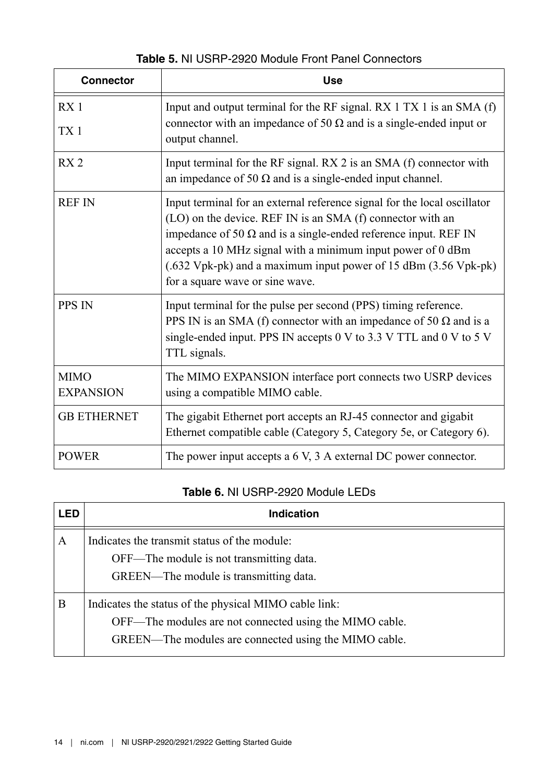| <b>Table 5. NI USRP-2920 Module Front Panel Connectors</b> |  |  |
|------------------------------------------------------------|--|--|
|------------------------------------------------------------|--|--|

| <b>Connector</b>                   | <b>Use</b>                                                                                                                                                                                                                                                                                                                                                                            |
|------------------------------------|---------------------------------------------------------------------------------------------------------------------------------------------------------------------------------------------------------------------------------------------------------------------------------------------------------------------------------------------------------------------------------------|
| RX <sub>1</sub><br>TX <sub>1</sub> | Input and output terminal for the RF signal. $RX 1 TX 1$ is an SMA $(f)$<br>connector with an impedance of 50 $\Omega$ and is a single-ended input or<br>output channel.                                                                                                                                                                                                              |
| RX <sub>2</sub>                    | Input terminal for the RF signal. RX 2 is an SMA (f) connector with<br>an impedance of 50 $\Omega$ and is a single-ended input channel.                                                                                                                                                                                                                                               |
| <b>REF IN</b>                      | Input terminal for an external reference signal for the local oscillator<br>(LO) on the device. REF IN is an SMA (f) connector with an<br>impedance of 50 $\Omega$ and is a single-ended reference input. REF IN<br>accepts a 10 MHz signal with a minimum input power of 0 dBm<br>(.632 Vpk-pk) and a maximum input power of 15 dBm (3.56 Vpk-pk)<br>for a square wave or sine wave. |
| <b>PPS IN</b>                      | Input terminal for the pulse per second (PPS) timing reference.<br>PPS IN is an SMA (f) connector with an impedance of 50 $\Omega$ and is a<br>single-ended input. PPS IN accepts 0 V to 3.3 V TTL and 0 V to 5 V<br>TTL signals.                                                                                                                                                     |
| <b>MIMO</b><br><b>EXPANSION</b>    | The MIMO EXPANSION interface port connects two USRP devices<br>using a compatible MIMO cable.                                                                                                                                                                                                                                                                                         |
| <b>GB ETHERNET</b>                 | The gigabit Ethernet port accepts an RJ-45 connector and gigabit<br>Ethernet compatible cable (Category 5, Category 5e, or Category 6).                                                                                                                                                                                                                                               |
| <b>POWER</b>                       | The power input accepts a 6 V, 3 A external DC power connector.                                                                                                                                                                                                                                                                                                                       |

#### **Table 6.** NI USRP-2920 Module LEDs

| LED | Indication                                                                                                                                                                |
|-----|---------------------------------------------------------------------------------------------------------------------------------------------------------------------------|
| А   | Indicates the transmit status of the module:<br>OFF—The module is not transmitting data.<br>GREEN—The module is transmitting data.                                        |
| В   | Indicates the status of the physical MIMO cable link:<br>OFF—The modules are not connected using the MIMO cable.<br>GREEN—The modules are connected using the MIMO cable. |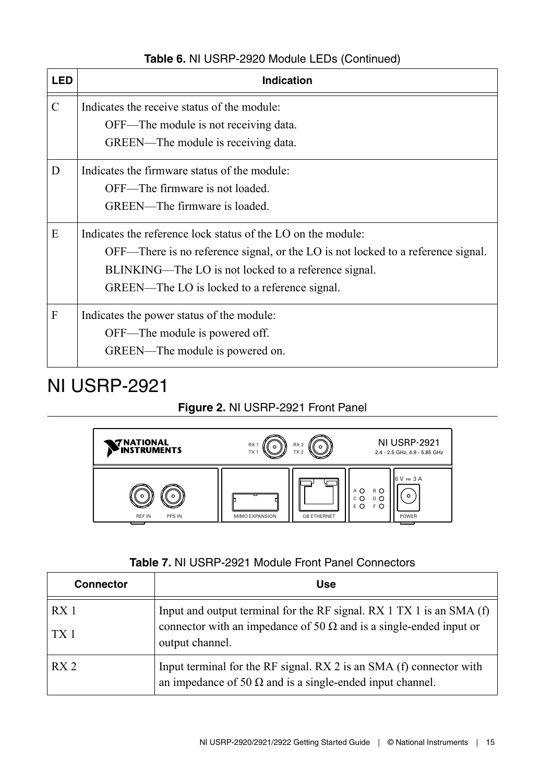<span id="page-14-0"></span>

| <b>LED</b>    | <b>Indication</b>                                                                |
|---------------|----------------------------------------------------------------------------------|
| $\mathcal{C}$ | Indicates the receive status of the module:                                      |
|               | OFF—The module is not receiving data.                                            |
|               | GREEN—The module is receiving data.                                              |
| D             | Indicates the firmware status of the module:                                     |
|               | OFF—The firmware is not loaded.                                                  |
|               | GREEN—The firmware is loaded.                                                    |
| E             | Indicates the reference lock status of the LO on the module:                     |
|               | OFF—There is no reference signal, or the LO is not locked to a reference signal. |
|               | BLINKING—The LO is not locked to a reference signal.                             |
|               | GREEN—The LO is locked to a reference signal.                                    |
| F             | Indicates the power status of the module:                                        |
|               | OFF—The module is powered off.                                                   |
|               | GREEN—The module is powered on.                                                  |

#### **Table 6.** NI USRP-2920 Module LEDs (Continued)

## NI USRP-2921

#### **Figure 2.** NI USRP-2921 Front Panel



| <b>Connector</b>                   | Use                                                                                                                                                                      |  |
|------------------------------------|--------------------------------------------------------------------------------------------------------------------------------------------------------------------------|--|
| RX <sub>1</sub><br>TX <sub>1</sub> | Input and output terminal for the RF signal. $RX 1 TX 1$ is an SMA $(f)$<br>connector with an impedance of 50 $\Omega$ and is a single-ended input or<br>output channel. |  |
| RX <sub>2</sub>                    | Input terminal for the RF signal. RX 2 is an SMA (f) connector with<br>an impedance of 50 $\Omega$ and is a single-ended input channel.                                  |  |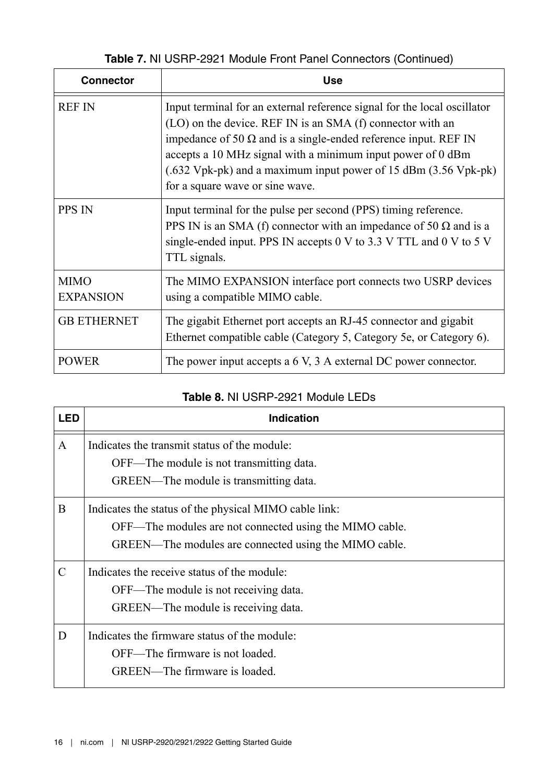| Table 7. NI USRP-2921 Module Front Panel Connectors (Continued) |
|-----------------------------------------------------------------|
|-----------------------------------------------------------------|

| <b>Connector</b>                | <b>Use</b>                                                                                                                                                                                                                                                                                                                                                                            |
|---------------------------------|---------------------------------------------------------------------------------------------------------------------------------------------------------------------------------------------------------------------------------------------------------------------------------------------------------------------------------------------------------------------------------------|
| <b>REF IN</b>                   | Input terminal for an external reference signal for the local oscillator<br>(LO) on the device. REF IN is an SMA (f) connector with an<br>impedance of 50 $\Omega$ and is a single-ended reference input. REF IN<br>accepts a 10 MHz signal with a minimum input power of 0 dBm<br>(.632 Vpk-pk) and a maximum input power of 15 dBm (3.56 Vpk-pk)<br>for a square wave or sine wave. |
| PPS IN                          | Input terminal for the pulse per second (PPS) timing reference.<br>PPS IN is an SMA (f) connector with an impedance of 50 $\Omega$ and is a<br>single-ended input. PPS IN accepts 0 V to 3.3 V TTL and 0 V to 5 V<br>TTL signals.                                                                                                                                                     |
| <b>MIMO</b><br><b>EXPANSION</b> | The MIMO EXPANSION interface port connects two USRP devices<br>using a compatible MIMO cable.                                                                                                                                                                                                                                                                                         |
| <b>GB ETHERNET</b>              | The gigabit Ethernet port accepts an RJ-45 connector and gigabit<br>Ethernet compatible cable (Category 5, Category 5e, or Category 6).                                                                                                                                                                                                                                               |
| <b>POWER</b>                    | The power input accepts a 6 V, 3 A external DC power connector.                                                                                                                                                                                                                                                                                                                       |

#### **Table 8.** NI USRP-2921 Module LEDs

| <b>LED</b>    | <b>Indication</b>                                                                                                                                                         |
|---------------|---------------------------------------------------------------------------------------------------------------------------------------------------------------------------|
| A             | Indicates the transmit status of the module:<br>OFF—The module is not transmitting data.                                                                                  |
|               | GREEN—The module is transmitting data.                                                                                                                                    |
| B             | Indicates the status of the physical MIMO cable link:<br>OFF—The modules are not connected using the MIMO cable.<br>GREEN—The modules are connected using the MIMO cable. |
| $\mathcal{C}$ | Indicates the receive status of the module<br>OFF—The module is not receiving data.<br>GREEN—The module is receiving data.                                                |
| D             | Indicates the firmware status of the module:<br>OFF—The firmware is not loaded.<br>GREEN—The firmware is loaded.                                                          |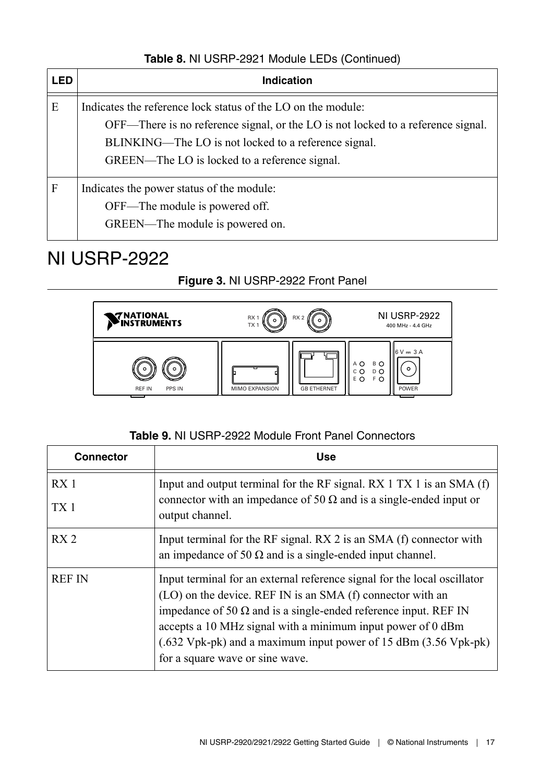#### **Table 8.** NI USRP-2921 Module LEDs (Continued)

<span id="page-16-0"></span>

| LED | Indication                                                                                                                                                                                                                                                |
|-----|-----------------------------------------------------------------------------------------------------------------------------------------------------------------------------------------------------------------------------------------------------------|
| E   | Indicates the reference lock status of the LO on the module:<br>OFF—There is no reference signal, or the LO is not locked to a reference signal.<br>BLINKING—The LO is not locked to a reference signal.<br>GREEN—The LO is locked to a reference signal. |
| F   | Indicates the power status of the module:<br>OFF—The module is powered off.<br>GREEN—The module is powered on.                                                                                                                                            |

## NI USRP-2922

#### **Figure 3.** NI USRP-2922 Front Panel



| <b>Connector</b>                   | Use                                                                                                                                                                                                                                                                                                                                                                                   |
|------------------------------------|---------------------------------------------------------------------------------------------------------------------------------------------------------------------------------------------------------------------------------------------------------------------------------------------------------------------------------------------------------------------------------------|
| RX <sub>1</sub><br>TX <sub>1</sub> | Input and output terminal for the RF signal. $RX 1 TX 1$ is an SMA $(f)$<br>connector with an impedance of 50 $\Omega$ and is a single-ended input or<br>output channel.                                                                                                                                                                                                              |
| RX <sub>2</sub>                    | Input terminal for the RF signal. RX 2 is an SMA (f) connector with<br>an impedance of 50 $\Omega$ and is a single-ended input channel.                                                                                                                                                                                                                                               |
| <b>REF IN</b>                      | Input terminal for an external reference signal for the local oscillator<br>(LO) on the device. REF IN is an SMA (f) connector with an<br>impedance of 50 $\Omega$ and is a single-ended reference input. REF IN<br>accepts a 10 MHz signal with a minimum input power of 0 dBm<br>(.632 Vpk-pk) and a maximum input power of 15 dBm (3.56 Vpk-pk)<br>for a square wave or sine wave. |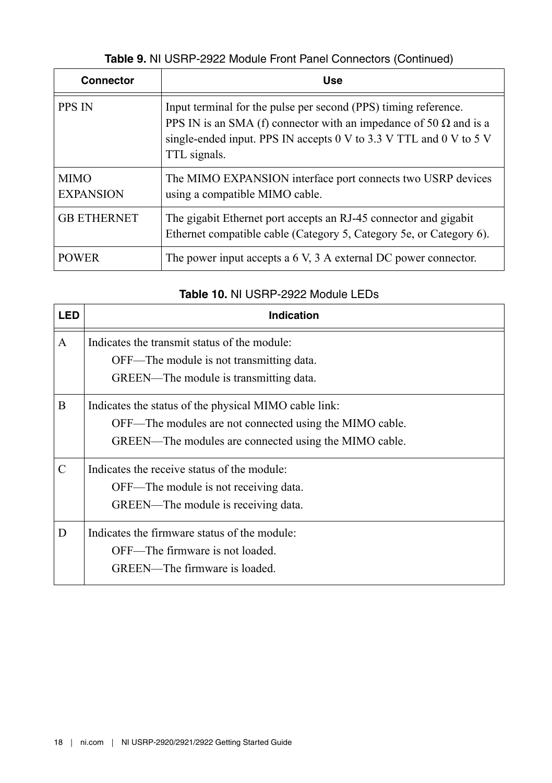#### **Table 9.** NI USRP-2922 Module Front Panel Connectors (Continued)

| <b>Connector</b>                | <b>Use</b>                                                                                                                                                                                                                        |
|---------------------------------|-----------------------------------------------------------------------------------------------------------------------------------------------------------------------------------------------------------------------------------|
| <b>PPS IN</b>                   | Input terminal for the pulse per second (PPS) timing reference.<br>PPS IN is an SMA (f) connector with an impedance of 50 $\Omega$ and is a<br>single-ended input. PPS IN accepts 0 V to 3.3 V TTL and 0 V to 5 V<br>TTL signals. |
| <b>MIMO</b><br><b>EXPANSION</b> | The MIMO EXPANSION interface port connects two USRP devices<br>using a compatible MIMO cable.                                                                                                                                     |
| <b>GB ETHERNET</b>              | The gigabit Ethernet port accepts an RJ-45 connector and gigabit<br>Ethernet compatible cable (Category 5, Category 5e, or Category 6).                                                                                           |
| <b>POWER</b>                    | The power input accepts a 6 V, 3 A external DC power connector.                                                                                                                                                                   |

#### **Table 10.** NI USRP-2922 Module LEDs

| LED | <b>Indication</b>                                                                                                                                                         |
|-----|---------------------------------------------------------------------------------------------------------------------------------------------------------------------------|
| A   | Indicates the transmit status of the module:<br>OFF—The module is not transmitting data.<br>GREEN—The module is transmitting data.                                        |
| B   | Indicates the status of the physical MIMO cable link:<br>OFF—The modules are not connected using the MIMO cable.<br>GREEN—The modules are connected using the MIMO cable. |
| C   | Indicates the receive status of the module:<br>OFF—The module is not receiving data.<br>GREEN—The module is receiving data.                                               |
| D   | Indicates the firmware status of the module:<br>OFF—The firmware is not loaded.<br>GREEN—The firmware is loaded.                                                          |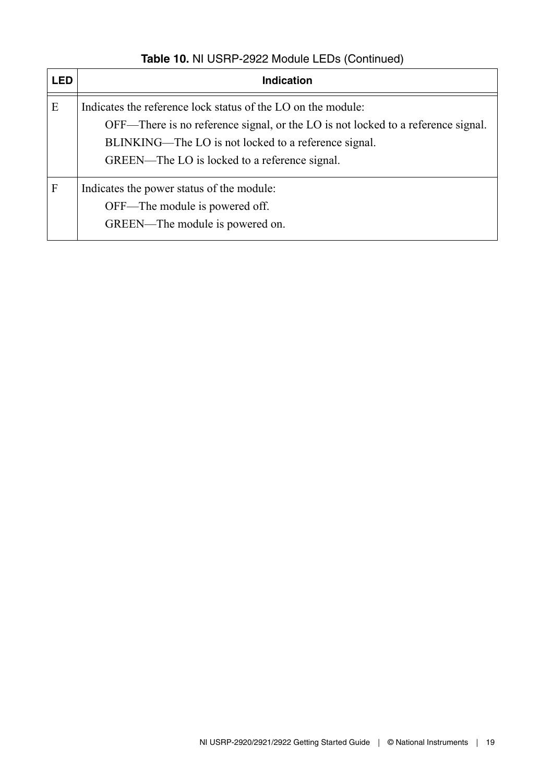| <b>LED</b> | Indication                                                                                                                                                                                                                                                |
|------------|-----------------------------------------------------------------------------------------------------------------------------------------------------------------------------------------------------------------------------------------------------------|
| E          | Indicates the reference lock status of the LO on the module:<br>OFF—There is no reference signal, or the LO is not locked to a reference signal.<br>BLINKING—The LO is not locked to a reference signal.<br>GREEN—The LO is locked to a reference signal. |
| F          | Indicates the power status of the module:<br>OFF—The module is powered off.<br>GREEN—The module is powered on.                                                                                                                                            |

#### **Table 10.** NI USRP-2922 Module LEDs (Continued)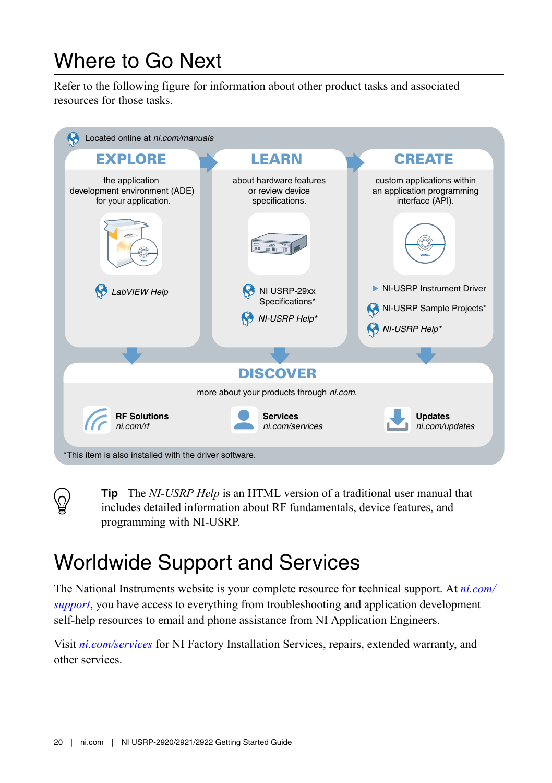# <span id="page-19-0"></span>Where to Go Next

Refer to the following figure for information about other product tasks and associated resources for those tasks.



**Tip** The *NI-USRP Help* is an HTML version of a traditional user manual that includes detailed information about RF fundamentals, device features, and programming with NI-USRP.

# Worldwide Support and Services

The National Instruments website is your complete resource for technical support. At *[ni.com/](http://www.ni.com/support) [support](http://www.ni.com/support)*, you have access to everything from troubleshooting and application development self-help resources to email and phone assistance from NI Application Engineers.

Visit *[ni.com/services](http://www.ni.com/services)* for NI Factory Installation Services, repairs, extended warranty, and other services.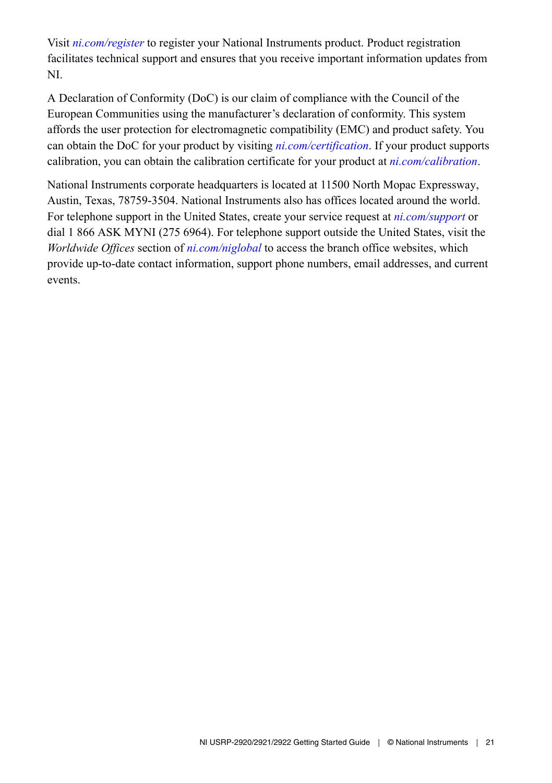Visit *[ni.com/register](http://www.ni.com/register)* to register your National Instruments product. Product registration facilitates technical support and ensures that you receive important information updates from NI.

A Declaration of Conformity (DoC) is our claim of compliance with the Council of the European Communities using the manufacturer's declaration of conformity. This system affords the user protection for electromagnetic compatibility (EMC) and product safety. You can obtain the DoC for your product by visiting *[ni.com/certification](http://www.ni.com/certification)*. If your product supports calibration, you can obtain the calibration certificate for your product at *[ni.com/calibration](http://www.ni.com/calibration)*.

National Instruments corporate headquarters is located at 11500 North Mopac Expressway, Austin, Texas, 78759-3504. National Instruments also has offices located around the world. For telephone support in the United States, create your service request at *[ni.com/support](http://www.ni.com/support)* or dial 1 866 ASK MYNI (275 6964). For telephone support outside the United States, visit the *Worldwide Offices* section of *[ni.com/niglobal](http://www.ni.com/niglobal)* to access the branch office websites, which provide up-to-date contact information, support phone numbers, email addresses, and current events.